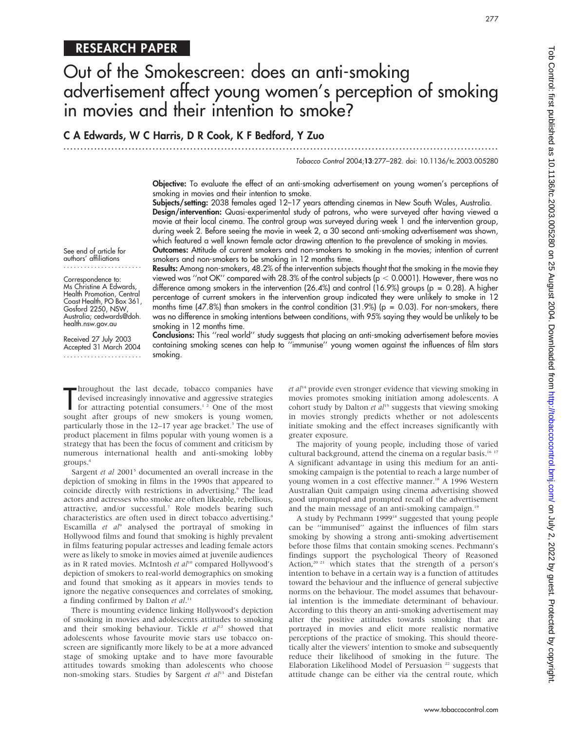### RESEARCH PAPER

## Out of the Smokescreen: does an anti-smoking advertisement affect young women's perception of smoking in movies and their intention to smoke?

C A Edwards, W C Harris, D R Cook, K F Bedford, Y Zuo

...............................................................................................................................

Tobacco Control 2004;13:277–282. doi: 10.1136/tc.2003.005280

Objective: To evaluate the effect of an anti-smoking advertisement on young women's perceptions of smoking in movies and their intention to smoke.

Subjects/setting: 2038 females aged 12-17 years attending cinemas in New South Wales, Australia. Design/intervention: Quasi-experimental study of patrons, who were surveyed after having viewed a movie at their local cinema. The control group was surveyed during week 1 and the intervention group, during week 2. Before seeing the movie in week 2, a 30 second anti-smoking advertisement was shown, which featured a well known female actor drawing attention to the prevalence of smoking in movies.

Outcomes: Attitude of current smokers and non-smokers to smoking in the movies; intention of current smokers and non-smokers to be smoking in 12 months time.

See end of article for authors' affiliations .......................

Correspondence to: Ms Christine A Edwards, Health Promotion, Central Coast Health, PO Box 361, Gosford 2250, NSW, Australia; cedwards@doh. health.nsw.gov.au

Received 27 July 2003 Accepted 31 March 2004 .......................

Results: Among non-smokers, 48.2% of the intervention subjects thought that the smoking in the movie they viewed was "not OK" compared with 28.3% of the control subjects ( $p < 0.0001$ ). However, there was no difference among smokers in the intervention (26.4%) and control (16.9%) groups (p = 0.28). A higher percentage of current smokers in the intervention group indicated they were unlikely to smoke in 12 months time  $(47.8\%)$  than smokers in the control condition  $(31.9\%)$  (p = 0.03). For non-smokers, there was no difference in smoking intentions between conditions, with 95% saying they would be unlikely to be smoking in 12 months time.

Conclusions: This "real world" study suggests that placing an anti-smoking advertisement before movies containing smoking scenes can help to ''immunise'' young women against the influences of film stars smoking.

In the last decade, tobacco companies have<br>devised increasingly innovative and aggressive strategies<br>for attracting potential consumers.<sup>12</sup> One of the most<br>sought after groups of new smokers is young women, hroughout the last decade, tobacco companies have devised increasingly innovative and aggressive strategies for attracting potential consumers.<sup>12</sup> One of the most particularly those in the 12–17 year age bracket.<sup>3</sup> The use of product placement in films popular with young women is a strategy that has been the focus of comment and criticism by numerous international health and anti-smoking lobby groups.4

Sargent et al 2001<sup>5</sup> documented an overall increase in the depiction of smoking in films in the 1990s that appeared to coincide directly with restrictions in advertising.<sup>6</sup> The lead actors and actresses who smoke are often likeable, rebellious, attractive, and/or successful.7 Role models bearing such characteristics are often used in direct tobacco advertising.<sup>8</sup> Escamilla et al<sup>9</sup> analysed the portrayal of smoking in Hollywood films and found that smoking is highly prevalent in films featuring popular actresses and leading female actors were as likely to smoke in movies aimed at juvenile audiences as in R rated movies. McIntosh et al<sup>10</sup> compared Hollywood's depiction of smokers to real-world demographics on smoking and found that smoking as it appears in movies tends to ignore the negative consequences and correlates of smoking, a finding confirmed by Dalton et al.<sup>11</sup>

There is mounting evidence linking Hollywood's depiction of smoking in movies and adolescents attitudes to smoking and their smoking behaviour. Tickle et  $al^{12}$  showed that adolescents whose favourite movie stars use tobacco onscreen are significantly more likely to be at a more advanced stage of smoking uptake and to have more favourable attitudes towards smoking than adolescents who choose non-smoking stars. Studies by Sargent et al<sup>13</sup> and Distefan  $et al<sup>14</sup>$  provide even stronger evidence that viewing smoking in movies promotes smoking initiation among adolescents. A cohort study by Dalton et  $al^{15}$  suggests that viewing smoking in movies strongly predicts whether or not adolescents initiate smoking and the effect increases significantly with greater exposure.

The majority of young people, including those of varied cultural background, attend the cinema on a regular basis.<sup>16</sup><sup>17</sup> A significant advantage in using this medium for an antismoking campaign is the potential to reach a large number of young women in a cost effective manner.<sup>18</sup> A 1996 Western Australian Quit campaign using cinema advertising showed good unprompted and prompted recall of the advertisement and the main message of an anti-smoking campaign.<sup>19</sup>

A study by Pechmann 1999<sup>18</sup> suggested that young people can be ''immunised'' against the influences of film stars smoking by showing a strong anti-smoking advertisement before those films that contain smoking scenes. Pechmann's findings support the psychological Theory of Reasoned Action,<sup>20 21</sup> which states that the strength of a person's intention to behave in a certain way is a function of attitudes toward the behaviour and the influence of general subjective norms on the behaviour. The model assumes that behavourial intention is the immediate determinant of behaviour. According to this theory an anti-smoking advertisement may alter the positive attitudes towards smoking that are portrayed in movies and elicit more realistic normative perceptions of the practice of smoking. This should theoretically alter the viewers' intention to smoke and subsequently reduce their likelihood of smoking in the future. The Elaboration Likelihood Model of Persuasion<sup>22</sup> suggests that attitude change can be either via the central route, which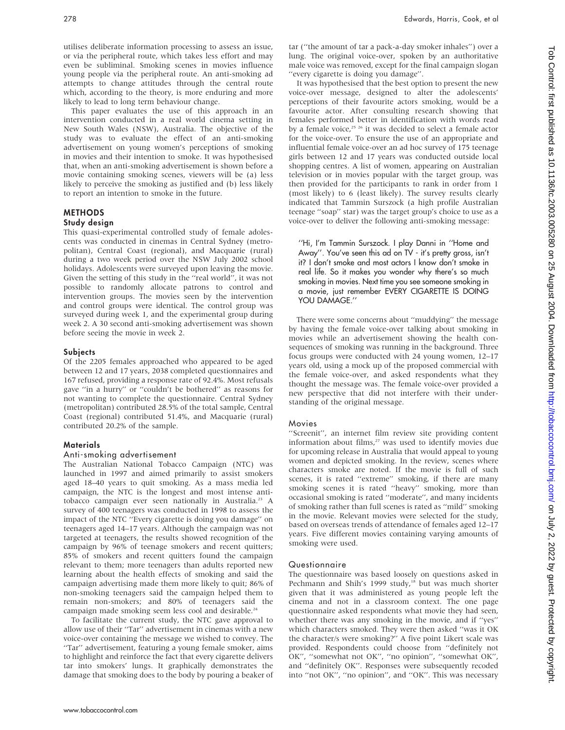utilises deliberate information processing to assess an issue, or via the peripheral route, which takes less effort and may even be subliminal. Smoking scenes in movies influence young people via the peripheral route. An anti-smoking ad attempts to change attitudes through the central route which, according to the theory, is more enduring and more likely to lead to long term behaviour change.

This paper evaluates the use of this approach in an intervention conducted in a real world cinema setting in New South Wales (NSW), Australia. The objective of the study was to evaluate the effect of an anti-smoking advertisement on young women's perceptions of smoking in movies and their intention to smoke. It was hypothesised that, when an anti-smoking advertisement is shown before a movie containing smoking scenes, viewers will be (a) less likely to perceive the smoking as justified and (b) less likely to report an intention to smoke in the future.

#### METHODS Study design

This quasi-experimental controlled study of female adolescents was conducted in cinemas in Central Sydney (metropolitan), Central Coast (regional), and Macquarie (rural) during a two week period over the NSW July 2002 school holidays. Adolescents were surveyed upon leaving the movie. Given the setting of this study in the ''real world'', it was not possible to randomly allocate patrons to control and intervention groups. The movies seen by the intervention and control groups were identical. The control group was surveyed during week 1, and the experimental group during week 2. A 30 second anti-smoking advertisement was shown before seeing the movie in week 2.

#### **Subjects**

Of the 2205 females approached who appeared to be aged between 12 and 17 years, 2038 completed questionnaires and 167 refused, providing a response rate of 92.4%. Most refusals gave ''in a hurry'' or ''couldn't be bothered'' as reasons for not wanting to complete the questionnaire. Central Sydney (metropolitan) contributed 28.5% of the total sample, Central Coast (regional) contributed 51.4%, and Macquarie (rural) contributed 20.2% of the sample.

#### **Materials**

#### Anti-smoking advertisement

The Australian National Tobacco Campaign (NTC) was launched in 1997 and aimed primarily to assist smokers aged 18–40 years to quit smoking. As a mass media led campaign, the NTC is the longest and most intense antitobacco campaign ever seen nationally in Australia.<sup>23</sup> A survey of 400 teenagers was conducted in 1998 to assess the impact of the NTC ''Every cigarette is doing you damage'' on teenagers aged 14–17 years. Although the campaign was not targeted at teenagers, the results showed recognition of the campaign by 96% of teenage smokers and recent quitters; 85% of smokers and recent quitters found the campaign relevant to them; more teenagers than adults reported new learning about the health effects of smoking and said the campaign advertising made them more likely to quit; 86% of non-smoking teenagers said the campaign helped them to remain non-smokers; and 80% of teenagers said the campaign made smoking seem less cool and desirable.<sup>24</sup>

To facilitate the current study, the NTC gave approval to allow use of their ''Tar'' advertisement in cinemas with a new voice-over containing the message we wished to convey. The "Tar" advertisement, featuring a young female smoker, aims to highlight and reinforce the fact that every cigarette delivers tar into smokers' lungs. It graphically demonstrates the damage that smoking does to the body by pouring a beaker of tar (''the amount of tar a pack-a-day smoker inhales'') over a lung. The original voice-over, spoken by an authoritative male voice was removed, except for the final campaign slogan ''every cigarette is doing you damage''.

It was hypothesised that the best option to present the new voice-over message, designed to alter the adolescents' perceptions of their favourite actors smoking, would be a favourite actor. After consulting research showing that females performed better in identification with words read by a female voice, $25 \frac{26}{10}$  it was decided to select a female actor for the voice-over. To ensure the use of an appropriate and influential female voice-over an ad hoc survey of 175 teenage girls between 12 and 17 years was conducted outside local shopping centres. A list of women, appearing on Australian television or in movies popular with the target group, was then provided for the participants to rank in order from 1 (most likely) to 6 (least likely). The survey results clearly indicated that Tammin Surszock (a high profile Australian teenage ''soap'' star) was the target group's choice to use as a voice-over to deliver the following anti-smoking message:

''Hi, I'm Tammin Surszock. I play Danni in ''Home and Away''. You've seen this ad on TV - it's pretty gross, isn't it? I don't smoke and most actors I know don't smoke in real life. So it makes you wonder why there's so much smoking in movies. Next time you see someone smoking in a movie, just remember EVERY CIGARETTE IS DOING YOU DAMAGE.''

There were some concerns about ''muddying'' the message by having the female voice-over talking about smoking in movies while an advertisement showing the health consequences of smoking was running in the background. Three focus groups were conducted with 24 young women, 12–17 years old, using a mock up of the proposed commercial with the female voice-over, and asked respondents what they thought the message was. The female voice-over provided a new perspective that did not interfere with their understanding of the original message.

#### Movies

''Screenit'', an internet film review site providing content information about films, $27$  was used to identify movies due for upcoming release in Australia that would appeal to young women and depicted smoking. In the review, scenes where characters smoke are noted. If the movie is full of such scenes, it is rated ''extreme'' smoking, if there are many smoking scenes it is rated ''heavy'' smoking, more than occasional smoking is rated ''moderate'', and many incidents of smoking rather than full scenes is rated as ''mild'' smoking in the movie. Relevant movies were selected for the study, based on overseas trends of attendance of females aged 12–17 years. Five different movies containing varying amounts of smoking were used.

#### Questionnaire

The questionnaire was based loosely on questions asked in Pechmann and Shih's 1999 study, $18$  but was much shorter given that it was administered as young people left the cinema and not in a classroom context. The one page questionnaire asked respondents what movie they had seen, whether there was any smoking in the movie, and if ''yes'' which characters smoked. They were then asked ''was it OK the character/s were smoking?'' A five point Likert scale was provided. Respondents could choose from ''definitely not OK'', ''somewhat not OK'', ''no opinion'', ''somewhat OK'', and ''definitely OK''. Responses were subsequently recoded into ''not OK'', ''no opinion'', and ''OK''. This was necessary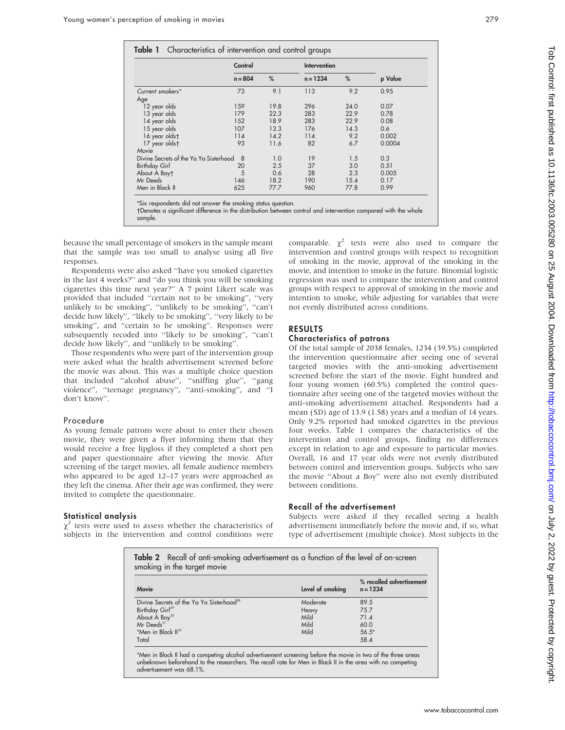|                                        | Control   |      | Intervention |      |         |
|----------------------------------------|-----------|------|--------------|------|---------|
|                                        | $n = 804$ | %    | $n = 1234$   | %    | p Value |
| Current smokers*                       | 73        | 9.1  | 113          | 9.2  | 0.95    |
| Age                                    |           |      |              |      |         |
| 12 year olds                           | 159       | 19.8 | 296          | 24.0 | 0.07    |
| 13 year olds                           | 179       | 22.3 | 283          | 22.9 | 0.78    |
| 14 year olds                           | 152       | 18.9 | 283          | 22.9 | 0.08    |
| 15 year olds                           | 107       | 13.3 | 176          | 14.3 | 0.6     |
| 16 year oldst                          | 114       | 14.2 | 114          | 9.2  | 0.002   |
| 17 year oldst                          | 93        | 11.6 | 82           | 6.7  | 0.0004  |
| Movie                                  |           |      |              |      |         |
| Divine Secrets of the Ya Ya Sisterhood | 8         | 1.0  | 19           | 1.5  | 0.3     |
| <b>Birthday Girl</b>                   | 20        | 2.5  | 37           | 3.0  | 0.51    |
| About A Boyt                           | 5         | 0.6  | 28           | 2.3  | 0.005   |
| Mr Deeds                               | 146       | 18.2 | 190          | 15.4 | 0.17    |
| Men in Black II                        | 625       | 77.7 | 960          | 77.8 | 0.99    |

\*Six respondents did not answer the smoking status question.

Denotes a significant difference in the distribution between control and intervention compared with the whole sample.

because the small percentage of smokers in the sample meant that the sample was too small to analyse using all five responses.

Respondents were also asked ''have you smoked cigarettes in the last 4 weeks?'' and ''do you think you will be smoking cigarettes this time next year?'' A 7 point Likert scale was provided that included ''certain not to be smoking'', ''very unlikely to be smoking'', ''unlikely to be smoking'', ''can't decide how likely'', ''likely to be smoking'', ''very likely to be smoking'', and ''certain to be smoking''. Responses were subsequently recoded into ''likely to be smoking'', ''can't decide how likely'', and ''unlikely to be smoking''.

Those respondents who were part of the intervention group were asked what the health advertisement screened before the movie was about. This was a multiple choice question that included ''alcohol abuse'', ''sniffing glue'', ''gang violence'', ''teenage pregnancy'', ''anti-smoking'', and ''I don't know''.

#### Procedure

As young female patrons were about to enter their chosen movie, they were given a flyer informing them that they would receive a free lipgloss if they completed a short pen and paper questionnaire after viewing the movie. After screening of the target movies, all female audience members who appeared to be aged 12–17 years were approached as they left the cinema. After their age was confirmed, they were invited to complete the questionnaire.

#### Statistical analysis

 $\chi^2$  tests were used to assess whether the characteristics of subjects in the intervention and control conditions were comparable.  $\chi^2$  tests were also used to compare the intervention and control groups with respect to recognition of smoking in the movie, approval of the smoking in the movie, and intention to smoke in the future. Binomial logistic regression was used to compare the intervention and control groups with respect to approval of smoking in the movie and intention to smoke, while adjusting for variables that were not evenly distributed across conditions.

#### RESULTS

#### Characteristics of patrons

Of the total sample of 2038 females, 1234 (39.5%) completed the intervention questionnaire after seeing one of several targeted movies with the anti-smoking advertisement screened before the start of the movie. Eight hundred and four young women (60.5%) completed the control questionnaire after seeing one of the targeted movies without the anti-smoking advertisement attached. Respondents had a mean (SD) age of 13.9 (1.58) years and a median of 14 years. Only 9.2% reported had smoked cigarettes in the previous four weeks. Table 1 compares the characteristics of the intervention and control groups, finding no differences except in relation to age and exposure to particular movies. Overall, 16 and 17 year olds were not evenly distributed between control and intervention groups. Subjects who saw the movie ''About a Boy'' were also not evenly distributed between conditions.

#### Recall of the advertisement

Subjects were asked if they recalled seeing a health advertisement immediately before the movie and, if so, what type of advertisement (multiple choice). Most subjects in the

| Table 2 Recall of anti-smoking advertisement as a function of the level of on-screen<br>smoking in the target movie |                   |                                        |  |
|---------------------------------------------------------------------------------------------------------------------|-------------------|----------------------------------------|--|
| Movie                                                                                                               | Level of smoking  | % recalled advertisement<br>$n = 1234$ |  |
| Divine Secrets of the Ya Ya Sisterhood <sup>28</sup><br>Birthday Girl <sup>29</sup>                                 | Moderate<br>Heavy | 89.5<br>75.7                           |  |
| About A Boy <sup>30</sup>                                                                                           | Mild              | 71.4                                   |  |
| Mr Deeds <sup>31</sup>                                                                                              | Mild              | 60.0                                   |  |
| *Men in Black II <sup>32</sup>                                                                                      | Mild              | $56.5*$                                |  |
| Total                                                                                                               |                   | 58.4                                   |  |

\*Men in Black II had a competing alcohol advertisement screening before the movie in two of the three areas unbeknown beforehand to the researchers. The recall rate for Men in Black II in the area with no competing advertisement was 68.1%.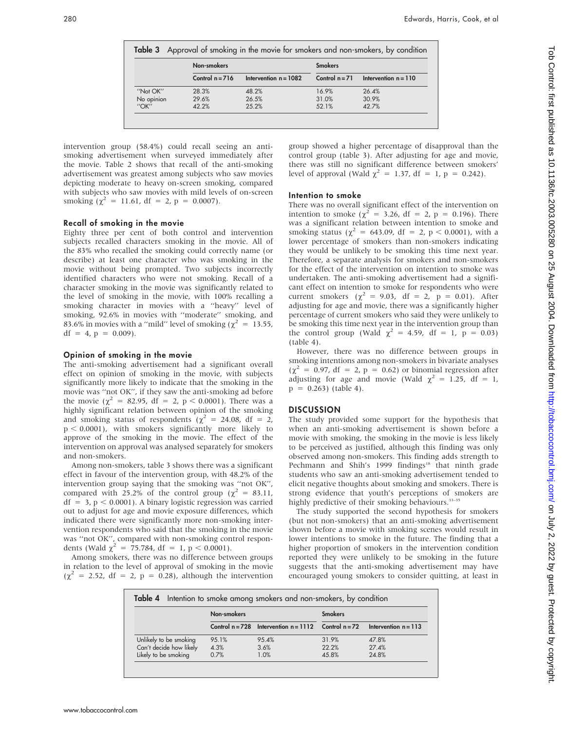|              | Non-smokers       |                         | <b>Smokers</b>   |                        |  |
|--------------|-------------------|-------------------------|------------------|------------------------|--|
|              | Control $n = 716$ | Intervention $n = 1082$ | Control $n = 71$ | Intervention $n = 110$ |  |
| "Not OK"     | 28.3%             | 48.2%                   | 16.9%            | 26.4%                  |  |
| No opinion   | 29.6%             | 26.5%                   | 31.0%            | 30.9%                  |  |
| $''$ OK $''$ | 42.2%             | 25.2%                   | 52.1%            | 42.7%                  |  |

intervention group (58.4%) could recall seeing an antismoking advertisement when surveyed immediately after the movie. Table 2 shows that recall of the anti-smoking advertisement was greatest among subjects who saw movies depicting moderate to heavy on-screen smoking, compared with subjects who saw movies with mild levels of on-screen smoking ( $\chi^2$  = 11.61, df = 2, p = 0.0007).

#### Recall of smoking in the movie

Eighty three per cent of both control and intervention subjects recalled characters smoking in the movie. All of the 83% who recalled the smoking could correctly name (or describe) at least one character who was smoking in the movie without being prompted. Two subjects incorrectly identified characters who were not smoking. Recall of a character smoking in the movie was significantly related to the level of smoking in the movie, with 100% recalling a smoking character in movies with a ''heavy'' level of smoking, 92.6% in movies with ''moderate'' smoking, and 83.6% in movies with a "mild" level of smoking ( $\chi^2 = 13.55$ ,  $df = 4$ ,  $p = 0.009$ ).

#### Opinion of smoking in the movie

The anti-smoking advertisement had a significant overall effect on opinion of smoking in the movie, with subjects significantly more likely to indicate that the smoking in the movie was ''not OK'', if they saw the anti-smoking ad before the movie ( $\chi^2 = 82.95$ , df = 2, p < 0.0001). There was a highly significant relation between opinion of the smoking and smoking status of respondents ( $\chi^2$  = 24.08, df = 2,  $p < 0.0001$ ), with smokers significantly more likely to approve of the smoking in the movie. The effect of the intervention on approval was analysed separately for smokers and non-smokers.

Among non-smokers, table 3 shows there was a significant effect in favour of the intervention group, with 48.2% of the intervention group saying that the smoking was ''not OK'', compared with 25.2% of the control group ( $\chi^2 = 83.11$ ,  $df = 3$ ,  $p < 0.0001$ ). A binary logistic regression was carried out to adjust for age and movie exposure differences, which indicated there were significantly more non-smoking intervention respondents who said that the smoking in the movie was ''not OK'', compared with non-smoking control respondents (Wald  $\chi^2 = 75.784$ , df = 1, p < 0.0001).

Among smokers, there was no difference between groups in relation to the level of approval of smoking in the movie  $(\chi^2 = 2.52, df = 2, p = 0.28)$ , although the intervention group showed a higher percentage of disapproval than the control group (table 3). After adjusting for age and movie, there was still no significant difference between smokers' level of approval (Wald  $\chi^2 = 1.37$ , df = 1, p = 0.242).

#### Intention to smoke

There was no overall significant effect of the intervention on intention to smoke ( $\chi^2 = 3.26$ , df = 2, p = 0.196). There was a significant relation between intention to smoke and smoking status ( $\chi^2$  = 643.09, df = 2, p < 0.0001), with a lower percentage of smokers than non-smokers indicating they would be unlikely to be smoking this time next year. Therefore, a separate analysis for smokers and non-smokers for the effect of the intervention on intention to smoke was undertaken. The anti-smoking advertisement had a significant effect on intention to smoke for respondents who were current smokers ( $\chi^2 = 9.03$ , df = 2, p = 0.01). After adjusting for age and movie, there was a significantly higher percentage of current smokers who said they were unlikely to be smoking this time next year in the intervention group than the control group (Wald  $\chi^2 = 4.59$ , df = 1, p = 0.03) (table 4).

However, there was no difference between groups in smoking intentions among non-smokers in bivariate analyses  $(\chi^2 = 0.97, df = 2, p = 0.62)$  or binomial regression after adjusting for age and movie (Wald  $\chi^2 = 1.25$ , df = 1,  $p = 0.263$ ) (table 4).

#### **DISCUSSION**

The study provided some support for the hypothesis that when an anti-smoking advertisement is shown before a movie with smoking, the smoking in the movie is less likely to be perceived as justified, although this finding was only observed among non-smokers. This finding adds strength to Pechmann and Shih's 1999 findings<sup>18</sup> that ninth grade students who saw an anti-smoking advertisement tended to elicit negative thoughts about smoking and smokers. There is strong evidence that youth's perceptions of smokers are highly predictive of their smoking behaviours.<sup>33-35</sup>

The study supported the second hypothesis for smokers (but not non-smokers) that an anti-smoking advertisement shown before a movie with smoking scenes would result in lower intentions to smoke in the future. The finding that a higher proportion of smokers in the intervention condition reported they were unlikely to be smoking in the future suggests that the anti-smoking advertisement may have encouraged young smokers to consider quitting, at least in

|                         | Non-smokers |                                                                                   | <b>Smokers</b> |       |  |
|-------------------------|-------------|-----------------------------------------------------------------------------------|----------------|-------|--|
|                         |             | Control $n = 728$ Intervention $n = 1112$ Control $n = 72$ Intervention $n = 113$ |                |       |  |
| Unlikely to be smoking  | 95.1%       | 95.4%                                                                             | 319%           | 47.8% |  |
| Can't decide how likely | 4.3%        | 3.6%                                                                              | 22.2%          | 27.4% |  |
| Likely to be smoking    | 0.7%        | 1.0%                                                                              | 45.8%          | 24.8% |  |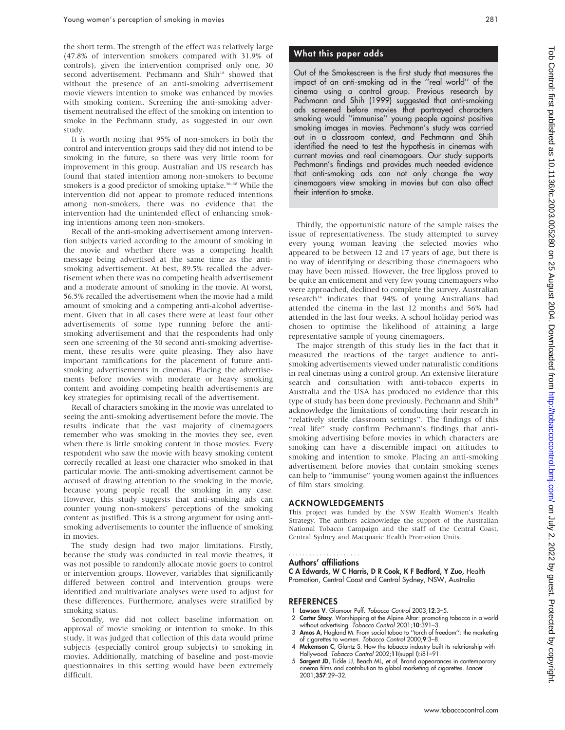the short term. The strength of the effect was relatively large (47.8% of intervention smokers compared with 31.9% of controls), given the intervention comprised only one, 30 second advertisement. Pechmann and Shih<sup>18</sup> showed that without the presence of an anti-smoking advertisement movie viewers intention to smoke was enhanced by movies with smoking content. Screening the anti-smoking advertisement neutralised the effect of the smoking on intention to smoke in the Pechmann study, as suggested in our own study.

It is worth noting that 95% of non-smokers in both the control and intervention groups said they did not intend to be smoking in the future, so there was very little room for improvement in this group. Australian and US research has found that stated intention among non-smokers to become smokers is a good predictor of smoking uptake.<sup>36-38</sup> While the intervention did not appear to promote reduced intentions among non-smokers, there was no evidence that the intervention had the unintended effect of enhancing smoking intentions among teen non-smokers.

Recall of the anti-smoking advertisement among intervention subjects varied according to the amount of smoking in the movie and whether there was a competing health message being advertised at the same time as the antismoking advertisement. At best, 89.5% recalled the advertisement when there was no competing health advertisement and a moderate amount of smoking in the movie. At worst, 56.5% recalled the advertisement when the movie had a mild amount of smoking and a competing anti-alcohol advertisement. Given that in all cases there were at least four other advertisements of some type running before the antismoking advertisement and that the respondents had only seen one screening of the 30 second anti-smoking advertisement, these results were quite pleasing. They also have important ramifications for the placement of future antismoking advertisements in cinemas. Placing the advertisements before movies with moderate or heavy smoking content and avoiding competing health advertisements are key strategies for optimising recall of the advertisement.

Recall of characters smoking in the movie was unrelated to seeing the anti-smoking advertisement before the movie. The results indicate that the vast majority of cinemagoers remember who was smoking in the movies they see, even when there is little smoking content in those movies. Every respondent who saw the movie with heavy smoking content correctly recalled at least one character who smoked in that particular movie. The anti-smoking advertisement cannot be accused of drawing attention to the smoking in the movie, because young people recall the smoking in any case. However, this study suggests that anti-smoking ads can counter young non-smokers' perceptions of the smoking content as justified. This is a strong argument for using antismoking advertisements to counter the influence of smoking in movies.

The study design had two major limitations. Firstly, because the study was conducted in real movie theatres, it was not possible to randomly allocate movie goers to control or intervention groups. However, variables that significantly differed between control and intervention groups were identified and multivariate analyses were used to adjust for these differences. Furthermore, analyses were stratified by smoking status.

Secondly, we did not collect baseline information on approval of movie smoking or intention to smoke. In this study, it was judged that collection of this data would prime subjects (especially control group subjects) to smoking in movies. Additionally, matching of baseline and post-movie questionnaires in this setting would have been extremely difficult.

#### What this paper adds

Out of the Smokescreen is the first study that measures the impact of an anti-smoking ad in the ''real world'' of the cinema using a control group. Previous research by Pechmann and Shih (1999) suggested that anti-smoking ads screened before movies that portrayed characters smoking would ''immunise'' young people against positive smoking images in movies. Pechmann's study was carried out in a classroom context, and Pechmann and Shih identified the need to test the hypothesis in cinemas with current movies and real cinemagoers. Our study supports Pechmann's findings and provides much needed evidence that anti-smoking ads can not only change the way cinemagoers view smoking in movies but can also affect their intention to smoke.

Thirdly, the opportunistic nature of the sample raises the issue of representativeness. The study attempted to survey every young woman leaving the selected movies who appeared to be between 12 and 17 years of age, but there is no way of identifying or describing those cinemagoers who may have been missed. However, the free lipgloss proved to be quite an enticement and very few young cinemagoers who were approached, declined to complete the survey. Australian research<sup>16</sup> indicates that 94% of young Australians had attended the cinema in the last 12 months and 56% had attended in the last four weeks. A school holiday period was chosen to optimise the likelihood of attaining a large representative sample of young cinemagoers.

The major strength of this study lies in the fact that it measured the reactions of the target audience to antismoking advertisements viewed under naturalistic conditions in real cinemas using a control group. An extensive literature search and consultation with anti-tobacco experts in Australia and the USA has produced no evidence that this type of study has been done previously. Pechmann and Shih<sup>18</sup> acknowledge the limitations of conducting their research in "relatively sterile classroom settings". The findings of this "real life" study confirm Pechmann's findings that antismoking advertising before movies in which characters are smoking can have a discernible impact on attitudes to smoking and intention to smoke. Placing an anti-smoking advertisement before movies that contain smoking scenes can help to ''immunise'' young women against the influences of film stars smoking.

#### ACKNOWLEDGEMENTS

This project was funded by the NSW Health Women's Health Strategy. The authors acknowledge the support of the Australian National Tobacco Campaign and the staff of the Central Coast, Central Sydney and Macquarie Health Promotion Units.

#### Authors' affiliations .....................

C A Edwards, W C Harris, D R Cook, K F Bedford, Y Zuo, Health Promotion, Central Coast and Central Sydney, NSW, Australia

#### **REFERENCES**

- 1 Lawson V. Glamour Puff. Tobacco Control 2003;12:3–5.
- 2 Carter Stacy. Worshipping at the Alpine Altar: promoting tobacco in a world without advertising. Tobacco Control 2001;10:391-3.
- 3 Amos A, Hagland M. From social taboo to ''torch of freedom'': the marketing of cigarettes to women. Tobacco Control 2000;9:3–8.
- 4 Mekemson C, Glantz S. How the tobacco industry built its relationship with Hollywood. Tobacco Control 2002;11(suppl I):i81-91.
- 5 Sargent JD, Tickle JJ, Beach ML, et al. Brand appearances in contemporary cinema films and contribution to global marketing of cigarettes. Lancet 2001;357:29–32.